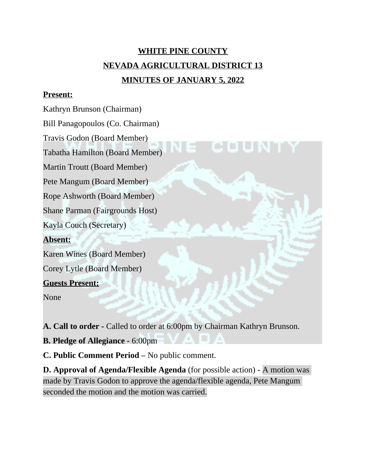# **WHITE PINE COUNTY NEVADA AGRICULTURAL DISTRICT 13 MINUTES OF JANUARY 5, 2022**

#### **Present:**

Kathryn Brunson (Chairman)

Bill Panagopoulos (Co. Chairman)

Travis Godon (Board Member)

Tabatha Hamilton (Board Member)

Martin Troutt (Board Member)

Pete Mangum (Board Member)

Rope Ashworth (Board Member)

Shane Parman (Fairgrounds Host)

Kayla Couch (Secretary)

## **Absent:**

Karen Wines (Board Member)

Corey Lytle (Board Member)

#### **Guests Present:**

None

**A. Call to order -** Called to order at 6:00pm by Chairman Kathryn Brunson.

**B. Pledge of Allegiance -** 6:00pm

**C. Public Comment Period –** No public comment.

**D. Approval of Agenda/Flexible Agenda** (for possible action) - A motion was made by Travis Godon to approve the agenda/flexible agenda, Pete Mangum seconded the motion and the motion was carried.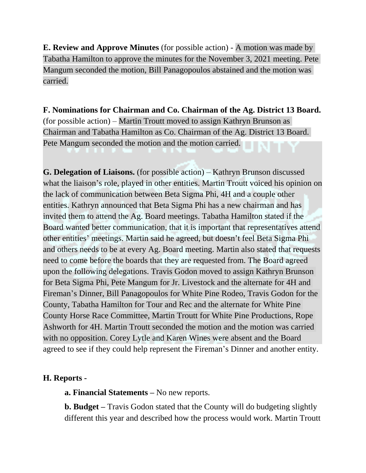**E. Review and Approve Minutes** (for possible action) - A motion was made by Tabatha Hamilton to approve the minutes for the November 3, 2021 meeting. Pete Mangum seconded the motion, Bill Panagopoulos abstained and the motion was carried.

**F. Nominations for Chairman and Co. Chairman of the Ag. District 13 Board.** (for possible action) – Martin Troutt moved to assign Kathryn Brunson as Chairman and Tabatha Hamilton as Co. Chairman of the Ag. District 13 Board. Pete Mangum seconded the motion and the motion carried.

**G. Delegation of Liaisons.** (for possible action) – Kathryn Brunson discussed what the liaison's role, played in other entities. Martin Troutt voiced his opinion on the lack of communication between Beta Sigma Phi, 4H and a couple other entities. Kathryn announced that Beta Sigma Phi has a new chairman and has invited them to attend the Ag. Board meetings. Tabatha Hamilton stated if the Board wanted better communication, that it is important that representatives attend other entities' meetings. Martin said he agreed, but doesn't feel Beta Sigma Phi and others needs to be at every Ag. Board meeting. Martin also stated that requests need to come before the boards that they are requested from. The Board agreed upon the following delegations. Travis Godon moved to assign Kathryn Brunson for Beta Sigma Phi, Pete Mangum for Jr. Livestock and the alternate for 4H and Fireman's Dinner, Bill Panagopoulos for White Pine Rodeo, Travis Godon for the County, Tabatha Hamilton for Tour and Rec and the alternate for White Pine County Horse Race Committee, Martin Troutt for White Pine Productions, Rope Ashworth for 4H. Martin Troutt seconded the motion and the motion was carried with no opposition. Corey Lytle and Karen Wines were absent and the Board agreed to see if they could help represent the Fireman's Dinner and another entity.

#### **H. Reports -**

**a. Financial Statements –** No new reports.

**b. Budget** – Travis Godon stated that the County will do budgeting slightly different this year and described how the process would work. Martin Troutt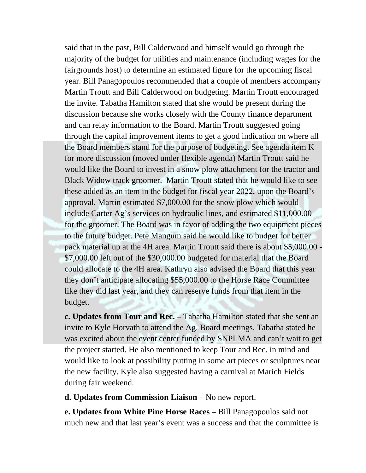said that in the past, Bill Calderwood and himself would go through the majority of the budget for utilities and maintenance (including wages for the fairgrounds host) to determine an estimated figure for the upcoming fiscal year. Bill Panagopoulos recommended that a couple of members accompany Martin Troutt and Bill Calderwood on budgeting. Martin Troutt encouraged the invite. Tabatha Hamilton stated that she would be present during the discussion because she works closely with the County finance department and can relay information to the Board. Martin Troutt suggested going through the capital improvement items to get a good indication on where all the Board members stand for the purpose of budgeting. See agenda item K for more discussion (moved under flexible agenda) Martin Troutt said he would like the Board to invest in a snow plow attachment for the tractor and Black Widow track groomer. Martin Troutt stated that he would like to see these added as an item in the budget for fiscal year 2022, upon the Board's approval. Martin estimated \$7,000.00 for the snow plow which would include Carter Ag's services on hydraulic lines, and estimated \$11,000.00 for the groomer. The Board was in favor of adding the two equipment pieces to the future budget. Pete Mangum said he would like to budget for better pack material up at the 4H area. Martin Troutt said there is about \$5,000.00 - \$7,000.00 left out of the \$30,000.00 budgeted for material that the Board could allocate to the 4H area. Kathryn also advised the Board that this year they don't anticipate allocating \$55,000.00 to the Horse Race Committee like they did last year, and they can reserve funds from that item in the budget.

**c. Updates from Tour and Rec. –** Tabatha Hamilton stated that she sent an invite to Kyle Horvath to attend the Ag. Board meetings. Tabatha stated he was excited about the event center funded by SNPLMA and can't wait to get the project started. He also mentioned to keep Tour and Rec. in mind and would like to look at possibility putting in some art pieces or sculptures near the new facility. Kyle also suggested having a carnival at Marich Fields during fair weekend.

**d. Updates from Commission Liaison –** No new report.

**e. Updates from White Pine Horse Races – Bill Panagopoulos said not** much new and that last year's event was a success and that the committee is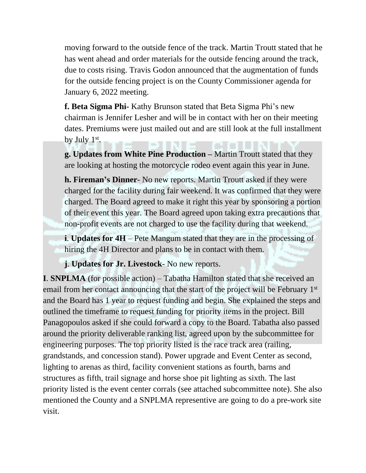moving forward to the outside fence of the track. Martin Troutt stated that he has went ahead and order materials for the outside fencing around the track, due to costs rising. Travis Godon announced that the augmentation of funds for the outside fencing project is on the County Commissioner agenda for January 6, 2022 meeting.

**f. Beta Sigma Phi-** Kathy Brunson stated that Beta Sigma Phi's new chairman is Jennifer Lesher and will be in contact with her on their meeting dates. Premiums were just mailed out and are still look at the full installment by July  $1<sup>st</sup>$ .

**g. Updates from White Pine Production –** Martin Troutt stated that they are looking at hosting the motorcycle rodeo event again this year in June.

**h. Fireman's Dinner**- No new reports. Martin Troutt asked if they were charged for the facility during fair weekend. It was confirmed that they were charged. The Board agreed to make it right this year by sponsoring a portion of their event this year. The Board agreed upon taking extra precautions that non-profit events are not charged to use the facility during that weekend.

**i**. **Updates for 4H** – Pete Mangum stated that they are in the processing of hiring the 4H Director and plans to be in contact with them.

**j**. **Updates for Jr. Livestock**- No new reports.

**I**. **SNPLMA** (for possible action) – Tabatha Hamilton stated that she received an email from her contact announcing that the start of the project will be February 1<sup>st</sup> and the Board has 1 year to request funding and begin. She explained the steps and outlined the timeframe to request funding for priority items in the project. Bill Panagopoulos asked if she could forward a copy to the Board. Tabatha also passed around the priority deliverable ranking list, agreed upon by the subcommittee for engineering purposes. The top priority listed is the race track area (railing, grandstands, and concession stand). Power upgrade and Event Center as second, lighting to arenas as third, facility convenient stations as fourth, barns and structures as fifth, trail signage and horse shoe pit lighting as sixth. The last priority listed is the event center corrals (see attached subcommittee note). She also mentioned the County and a SNPLMA representive are going to do a pre-work site visit.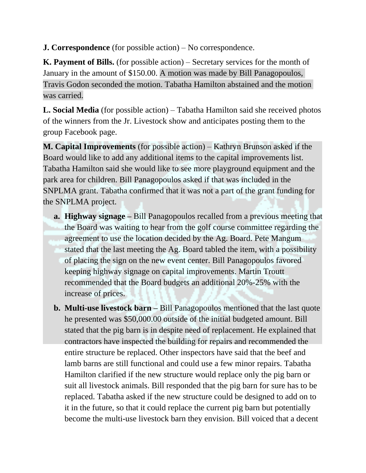**J. Correspondence** (for possible action) – No correspondence.

**K. Payment of Bills.** (for possible action) – Secretary services for the month of January in the amount of \$150.00. A motion was made by Bill Panagopoulos, Travis Godon seconded the motion. Tabatha Hamilton abstained and the motion was carried.

**L. Social Media** (for possible action) – Tabatha Hamilton said she received photos of the winners from the Jr. Livestock show and anticipates posting them to the group Facebook page.

**M. Capital Improvements** (for possible action) – Kathryn Brunson asked if the Board would like to add any additional items to the capital improvements list. Tabatha Hamilton said she would like to see more playground equipment and the park area for children. Bill Panagopoulos asked if that was included in the SNPLMA grant. Tabatha confirmed that it was not a part of the grant funding for the SNPLMA project.

- **a. Highway signage –** Bill Panagopoulos recalled from a previous meeting that the Board was waiting to hear from the golf course committee regarding the agreement to use the location decided by the Ag. Board. Pete Mangum stated that the last meeting the Ag. Board tabled the item, with a possibility of placing the sign on the new event center. Bill Panagopoulos favored keeping highway signage on capital improvements. Martin Troutt recommended that the Board budgets an additional 20%-25% with the increase of prices.
- **b. Multi-use livestock barn –** Bill Panagopoulos mentioned that the last quote he presented was \$50,000.00 outside of the initial budgeted amount. Bill stated that the pig barn is in despite need of replacement. He explained that contractors have inspected the building for repairs and recommended the entire structure be replaced. Other inspectors have said that the beef and lamb barns are still functional and could use a few minor repairs. Tabatha Hamilton clarified if the new structure would replace only the pig barn or suit all livestock animals. Bill responded that the pig barn for sure has to be replaced. Tabatha asked if the new structure could be designed to add on to it in the future, so that it could replace the current pig barn but potentially become the multi-use livestock barn they envision. Bill voiced that a decent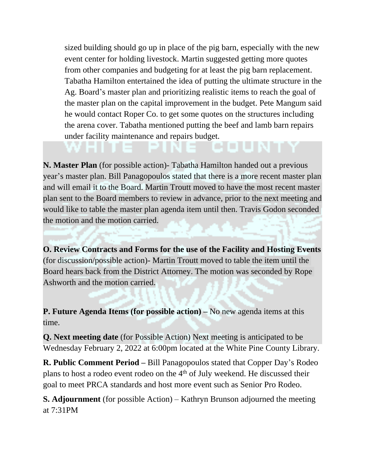sized building should go up in place of the pig barn, especially with the new event center for holding livestock. Martin suggested getting more quotes from other companies and budgeting for at least the pig barn replacement. Tabatha Hamilton entertained the idea of putting the ultimate structure in the Ag. Board's master plan and prioritizing realistic items to reach the goal of the master plan on the capital improvement in the budget. Pete Mangum said he would contact Roper Co. to get some quotes on the structures including the arena cover. Tabatha mentioned putting the beef and lamb barn repairs under facility maintenance and repairs budget.

**N. Master Plan** (for possible action)- Tabatha Hamilton handed out a previous year's master plan. Bill Panagopoulos stated that there is a more recent master plan and will email it to the Board. Martin Troutt moved to have the most recent master plan sent to the Board members to review in advance, prior to the next meeting and would like to table the master plan agenda item until then. Travis Godon seconded the motion and the motion carried.

**O. Review Contracts and Forms for the use of the Facility and Hosting Events** (for discussion/possible action)- Martin Troutt moved to table the item until the Board hears back from the District Attorney. The motion was seconded by Rope Ashworth and the motion carried.

**P. Future Agenda Items (for possible action) – No new agenda items at this** time.

**Q. Next meeting date** (for Possible Action) Next meeting is anticipated to be Wednesday February 2, 2022 at 6:00pm located at the White Pine County Library.

**R. Public Comment Period –** Bill Panagopoulos stated that Copper Day's Rodeo plans to host a rodeo event rodeo on the 4th of July weekend. He discussed their goal to meet PRCA standards and host more event such as Senior Pro Rodeo.

**S. Adjournment** (for possible Action) – Kathryn Brunson adjourned the meeting at 7:31PM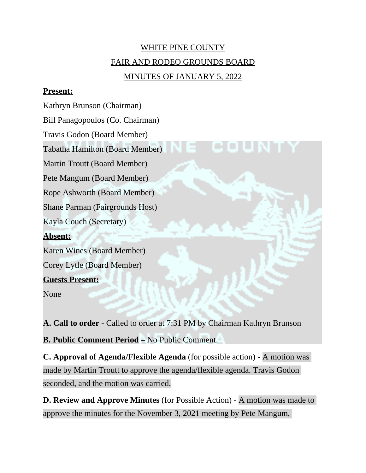# WHITE PINE COUNTY FAIR AND RODEO GROUNDS BOARD MINUTES OF JANUARY 5, 2022

### **Present:**

Kathryn Brunson (Chairman) Bill Panagopoulos (Co. Chairman) Travis Godon (Board Member) Tabatha Hamilton (Board Member) Martin Troutt (Board Member) Pete Mangum (Board Member) Rope Ashworth (Board Member) Shane Parman (Fairgrounds Host) Kayla Couch (Secretary) **Absent:** Karen Wines (Board Member) Corey Lytle (Board Member) **Guests Present:** None

**A. Call to order -** Called to order at 7:31 PM by Chairman Kathryn Brunson

**B. Public Comment Period –** No Public Comment.

**C. Approval of Agenda/Flexible Agenda** (for possible action) - A motion was made by Martin Troutt to approve the agenda/flexible agenda. Travis Godon seconded, and the motion was carried.

**D. Review and Approve Minutes** (for Possible Action) - A motion was made to approve the minutes for the November 3, 2021 meeting by Pete Mangum,